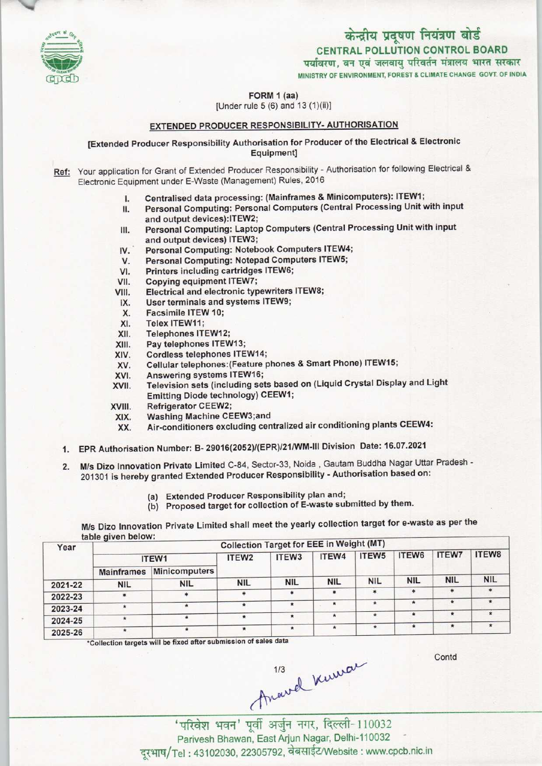

# केन्द्रीय प्रदूषण नियंत्रण बोर्ड CENTRAL POLLUTION CONTROL BOARD<br>पर्यावरण, वन एवं जलवायु परिवर्तन मंत्रालय भारत सरकार

MINISTRY OF ENVIRONMENT, FOREST & CLIMATE CHANGE GOVT. OF INDIA

FORM 1 (aa)

[Under rule 5 (6) and 13 (1)(ii)]

### EXTENDED PRODUCER RESPONSIBILITY- AUTHORISATION

[Extended Producer Responsibility Authorisation for Producer of the Electrical & Electronic Equipment]

- Ref: Your application for Grant of Extended Producer Responsibility Authorisation for following Electrical & Electronic Equipment under E-Waste (Management) Rules, 2016
	-
	- I. Centralised data processing: (Mainframes & Minicomputers): ITEW1;<br>II. Personal Computing: Personal Computers (Central Processing Unit v quipment under E-Waste (Management) Rules, 2016<br>I. Centralised data processing: (Mainframes & Minicomputers): ITEW1;<br>II. Personal Computing: Personal Computers (Central Processing Unit with input II. Personal Computing: Personal Computers (Central Processing Unit with inp<br>and output devices):ITEW2;<br>III. Personal Computing: Laptop Computers (Central Processing Unit with input<br>and output devices) ITEW3:
	- and output devices):ITEW2;<br>Personal Computing: Laptop Computers (Central Processing Unit with input and output devices) ITEW3; IV. Personal Computing: Notebook Computers ITEW4;<br>IV. Personal Computing: Notebook Computers ITEW4;<br>V. Personal Computing: Notepad Computers ITEW5;
	-
	- V. Personal Computing: Notepad Computers ITEW5;<br>VII. Printers including cartridges ITEW6;<br>VIII. Copying equipment ITEW7;<br>VIII. Electrical and electronic typewriters ITEW8;
	- IV. Personal Computing: Notebook Com<br>V. Personal Computing: Notepad Computing cartridges<br>VI. Conving equipment ITEW7:
	-
	- VI. Printers including cartridges ITEW6;<br>VII. Copying equipment ITEW7;<br>VIII. Electrical and electronic typewriters ITEW8;<br>IX. Hear terminals and systems ITEW9; III. Copying equipment ITEW7;<br>III. Electrical and electronic typewriters<br>IX. User terminals and systems ITEW9;<br>X. Eacsimile ITEW 10:
	- IX. User terminals and systems ITEW9;<br>X. Facsimile ITEW 10;<br>XI. Telex ITEW11;
	-
	-
	- XI. Telex ITEW11;<br>XII. Telephones ITI
	- XII. Telephones ITEW12;<br>XIII. Pay telephones ITEW
	- XIII. Pay telephones ITEW13;<br>XIV. Cordless telephones ITE
	- XIV. Cordless telephones ITEW14;<br>XV. Cellular telephones:(Feature p XIII. Pay telephones ITEW13;<br>XIV. Cordless telephones ITEW14;<br>XV. Cellular telephones:(Feature phones & Smart Phone) ITEW15;<br>XV. Anguaring overtome ITEW15;
	- XIV. Cordless telephones ITEW14<br>XV. Cellular telephones: (Feature<br>XVI. Answering systems ITEW16;<br>XVII. Television sets (including se
	- XV. Cellular telephones: (Feature phones & Smart Phone) ITEW15;<br>XVI. Answering systems ITEW16;<br>XVII. Television sets (including sets based on (Liquid Crystal Display and Light Emitting Diode technology) CEEW1;<br>VIII. Refrigerator CEEW2;<br>XIX. Washing Machine CEEW3;and<br>YY. Air conditioners excluding centralizy XVII. Television sets (inclum<br>Emitting Diode techn<br>XVIII. Refrigerator CEEW2;<br>XIX. Washing Machine Ci
	-
	-
	- XVIII. Refrigerator CEEW2;<br> XIX. Washing Machine CEEW3;and<br> XX. Air-conditioners excluding centralized air conditioning plants CEEW4:
	- 1.EPR Authorisation Number: B-29016(2052)/(EPR)/21/WM-III Division Date: 16.07.2021
	- 2. M/s Dizo Innovation Private Limited C-84, Sector-33, Noida, Gautam Buddha Nagar Uttar Pradesh -201301 is hereby granted Extended Producer Responsibility - Authorisation based on:
		- (a)Extended Producer Responsibility plan and;
		- (b) Proposed target for collection of E-waste submitted by them.

M/s Dizo Innovation Private Limited shall meet the yearly collection target for e-waste as per the table given below:

| Year    | rania diversionali<br><b>Collection Target for EEE in Weight (MT)</b> |               |                   |                   |            |                   |            |              |            |  |
|---------|-----------------------------------------------------------------------|---------------|-------------------|-------------------|------------|-------------------|------------|--------------|------------|--|
|         | ITEW1                                                                 |               | ITEW <sub>2</sub> | ITEW <sub>3</sub> | ITEW4      | ITEW <sub>5</sub> | ITEW6      | <b>ITEW7</b> | ITEW8      |  |
|         | <b>Mainframes</b>                                                     | Minicomputers |                   |                   |            |                   |            |              |            |  |
| 2021-22 | <b>NIL</b>                                                            | <b>NIL</b>    | <b>NIL</b>        | <b>NIL</b>        | <b>NIL</b> | <b>NIL</b>        | <b>NIL</b> | <b>NIL</b>   | <b>NIL</b> |  |
| 2022-23 | $\ast$                                                                |               |                   | <b>sk</b>         | 米          | *                 | *          |              |            |  |
| 2023-24 |                                                                       |               |                   |                   | $\star$    |                   | $\star$    | $\star$      | $\star$    |  |
| 2024-25 | $\star$                                                               |               | $\star$           |                   | $\star$    | $\star$           | $\star$    | $\star$      | $\star$    |  |
| 2025-26 |                                                                       |               |                   | $\star$           | $\star$    |                   | $\star$    | $\star$      |            |  |

\*Collection targets will be fixed after submission of sales data

Contd

 $\pi$   $\pi$   $\pi$   $\pi$   $\pi$   $\pi$   $\pi$   $\pi$ ,  $\pi$  $\pi$ ,  $\pi$  $\pi$ ,  $\pi$  $\pi$ ,  $\pi$  $\pi$ ,  $\pi$  $\pi$ ,  $\pi$  $\pi$ ,  $\pi$  $\pi$ ,  $\pi$  $\pi$ ,  $\pi$  $\pi$ ,  $\pi$  $\pi$ ,  $\pi$  $\pi$ ,  $\pi$  $\pi$ ,  $\pi$  $\pi$ ,  $\pi$  $\pi$ ,  $\pi$  $\pi$ ,  $\pi$  $\pi$ ,  $\pi$  $\pi$ ,  $\pi$  $\pi$ ,

Parivesh Bhawan, East Arjun Nagar, Delhi-110032 दरभाष/Tel: 43102030, 22305792, वेबसाईट/Website: www.cpcb.nic.in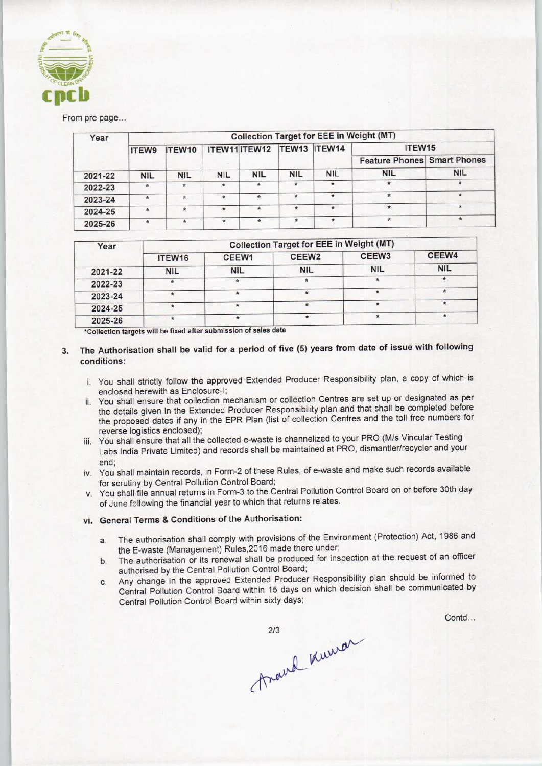

#### From pre page...

| Year    | <b>Collection Target for EEE in Weight (MT)</b> |              |                            |            |            |             |                                    |              |  |  |
|---------|-------------------------------------------------|--------------|----------------------------|------------|------------|-------------|------------------------------------|--------------|--|--|
|         | ITEW9                                           | ITEW10       | ITEW11 ITEW12 TEW13 ITEW14 |            |            |             | ITEW15                             |              |  |  |
|         |                                                 |              |                            |            |            |             | <b>Feature Phones Smart Phones</b> |              |  |  |
| 2021-22 | <b>NIL</b>                                      | <b>NIL</b>   | <b>NIL</b>                 | <b>NIL</b> | <b>NIL</b> | <b>NIL</b>  | <b>NIL</b>                         | <b>NIL</b>   |  |  |
| 2022-23 | $\star$                                         | $\star$      | $\star$                    | $\star$    | $\star$    | ÷.          | $\star$                            | 赏            |  |  |
| 2023-24 | $\star$                                         | $\star$      | $\dot{\pi}$                | $\pm$      | $\star$    | $\hat{\pi}$ | $\star$                            | $\mathbf{r}$ |  |  |
| 2024-25 | ÷                                               | $\star$      | $\star$                    | $\star$    | $\dot{R}$  | $\star$     |                                    | $\star$      |  |  |
| 2025-26 | $\star$                                         | $\pmb{\ast}$ | $\star$                    | $\star$    | $\star$    | ×           | $\star$                            | ★            |  |  |

| Year    | <b>Collection Target for EEE in Weight (MT)</b> |            |                   |            |            |  |  |  |  |
|---------|-------------------------------------------------|------------|-------------------|------------|------------|--|--|--|--|
|         | ITEW16                                          | CEEW1      | CEEW <sub>2</sub> | CEEW3      | CEEW4      |  |  |  |  |
| 2021-22 | NIL                                             | <b>NIL</b> | <b>NIL</b>        | <b>NIL</b> | <b>NIL</b> |  |  |  |  |
| 2022-23 | $\star$                                         | de.        |                   | ۰          |            |  |  |  |  |
| 2023-24 |                                                 |            |                   |            | ₩          |  |  |  |  |
| 2024-25 |                                                 | *          |                   |            |            |  |  |  |  |
| 2025-26 |                                                 |            |                   |            |            |  |  |  |  |

\*Collection targets will be fixed after submission of sales da

- 3. The Authorisation shall be valid for a period of five (5) years from date of issue with following conditions:
	- i. You shall strictly follow the approved Extended Producer Responsibility plan, a copy of which is enclosed herewith as Enclosure-I;
	- ii. You shall ensure that collection mechanism or collection Centres are set up or designated as per the details given in the Extended Producer Responsibility plan and that shall be completed before the proposed dates if any in the EPR Plan (list of collection Centres and the toll free numbers for reverse logistics enclosed);
	- iii. You shall ensure that all the collected e-waste is channelized to your PRO (M/s Vincular Testing Labs India Private Limited) and records shall be maintained at PRO, dismantler/recycler and your
	- end; iv. You shall maintain records, in Form-2 of these Rules, of e-waste and make such records available for scrutiny by Central Pollution Control Board;
	- v. You shall file annual returns in Form-3 to the Central Pollution Control Board on or before 30th day of June following the financial year to which that returns relates.

## vi. General Terms & Conditions of the Authorisation:

- a. The authorisation shall comply with provisions of the Environment (Protection) Act, 1986 and the E-waste (Management) Rules,2016 made there under;
- b.The authorisation or its renewal shall be produced for inspection at the request of an officer authorised by the Central Pollution Control Board;
- c.Any change in the approved Extended Producer Responsibility plan should be informed to Central Pollution Control Board within 15 days on which decision shall be communicated by Central Pollution Control Board within sixty days;

213 Rumar

Contd...